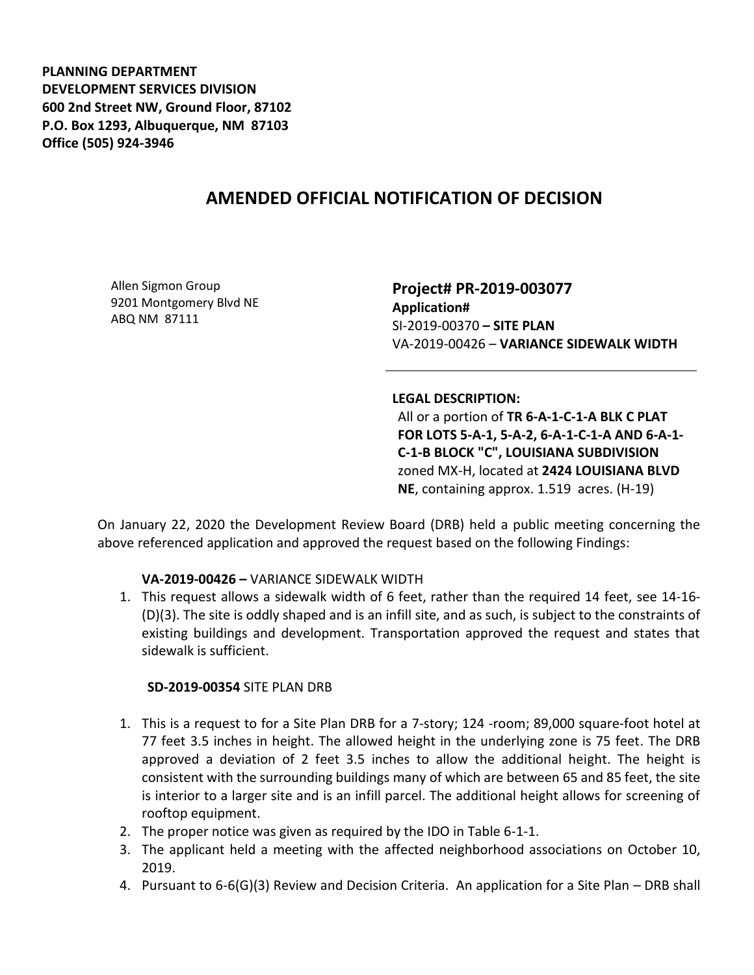**PLANNING DEPARTMENT DEVELOPMENT SERVICES DIVISION 600 2nd Street NW, Ground Floor, 87102 P.O. Box 1293, Albuquerque, NM 87103 Office (505) 924-3946** 

# **AMENDED OFFICIAL NOTIFICATION OF DECISION**

Allen Sigmon Group 9201 Montgomery Blvd NE ABQ NM 87111

**Project# PR-2019-003077 Application#**  SI-2019-00370 **– SITE PLAN** VA-2019-00426 – **VARIANCE SIDEWALK WIDTH**

#### **LEGAL DESCRIPTION:**

All or a portion of **TR 6-A-1-C-1-A BLK C PLAT FOR LOTS 5-A-1, 5-A-2, 6-A-1-C-1-A AND 6-A-1- C-1-B BLOCK "C", LOUISIANA SUBDIVISION** zoned MX-H, located at **2424 LOUISIANA BLVD NE**, containing approx. 1.519 acres. (H-19)

On January 22, 2020 the Development Review Board (DRB) held a public meeting concerning the above referenced application and approved the request based on the following Findings:

### **VA-2019-00426 –** VARIANCE SIDEWALK WIDTH

1. This request allows a sidewalk width of 6 feet, rather than the required 14 feet, see 14-16- (D)(3). The site is oddly shaped and is an infill site, and as such, is subject to the constraints of existing buildings and development. Transportation approved the request and states that sidewalk is sufficient.

### **SD-2019-00354** SITE PLAN DRB

- 1. This is a request to for a Site Plan DRB for a 7-story; 124 -room; 89,000 square-foot hotel at 77 feet 3.5 inches in height. The allowed height in the underlying zone is 75 feet. The DRB approved a deviation of 2 feet 3.5 inches to allow the additional height. The height is consistent with the surrounding buildings many of which are between 65 and 85 feet, the site is interior to a larger site and is an infill parcel. The additional height allows for screening of rooftop equipment.
- 2. The proper notice was given as required by the IDO in Table 6-1-1.
- 3. The applicant held a meeting with the affected neighborhood associations on October 10, 2019.
- 4. Pursuant to 6-6(G)(3) Review and Decision Criteria. An application for a Site Plan DRB shall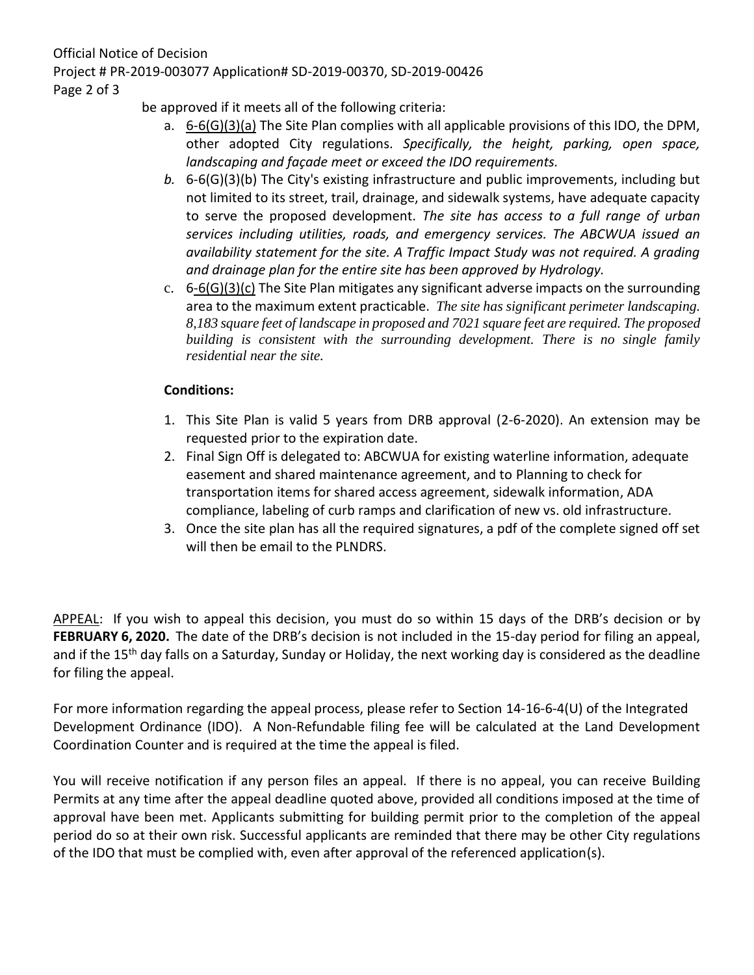be approved if it meets all of the following criteria:

- a. 6-6(G)(3)(a) The Site Plan complies with all applicable provisions of this IDO, the DPM, other adopted City regulations. *Specifically, the height, parking, open space, landscaping and façade meet or exceed the IDO requirements.*
- *b.* 6-6(G)(3)(b) The City's existing infrastructure and public improvements, including but not limited to its street, trail, drainage, and sidewalk systems, have adequate capacity to serve the proposed development. *The site has access to a full range of urban services including utilities, roads, and emergency services. The ABCWUA issued an availability statement for the site. A Traffic Impact Study was not required. A grading and drainage plan for the entire site has been approved by Hydrology.*
- c.  $6-6(G)(3)(c)$  The Site Plan mitigates any significant adverse impacts on the surrounding area to the maximum extent practicable. *The site has significant perimeter landscaping. 8,183 square feet of landscape in proposed and 7021 square feet are required. The proposed building is consistent with the surrounding development. There is no single family residential near the site.*

## **Conditions:**

- 1. This Site Plan is valid 5 years from DRB approval (2-6-2020). An extension may be requested prior to the expiration date.
- 2. Final Sign Off is delegated to: ABCWUA for existing waterline information, adequate easement and shared maintenance agreement, and to Planning to check for transportation items for shared access agreement, sidewalk information, ADA compliance, labeling of curb ramps and clarification of new vs. old infrastructure.
- 3. Once the site plan has all the required signatures, a pdf of the complete signed off set will then be email to the PLNDRS.

APPEAL: If you wish to appeal this decision, you must do so within 15 days of the DRB's decision or by **FEBRUARY 6, 2020.** The date of the DRB's decision is not included in the 15-day period for filing an appeal, and if the 15<sup>th</sup> day falls on a Saturday, Sunday or Holiday, the next working day is considered as the deadline for filing the appeal.

For more information regarding the appeal process, please refer to Section 14-16-6-4(U) of the Integrated Development Ordinance (IDO). A Non-Refundable filing fee will be calculated at the Land Development Coordination Counter and is required at the time the appeal is filed.

You will receive notification if any person files an appeal. If there is no appeal, you can receive Building Permits at any time after the appeal deadline quoted above, provided all conditions imposed at the time of approval have been met. Applicants submitting for building permit prior to the completion of the appeal period do so at their own risk. Successful applicants are reminded that there may be other City regulations of the IDO that must be complied with, even after approval of the referenced application(s).